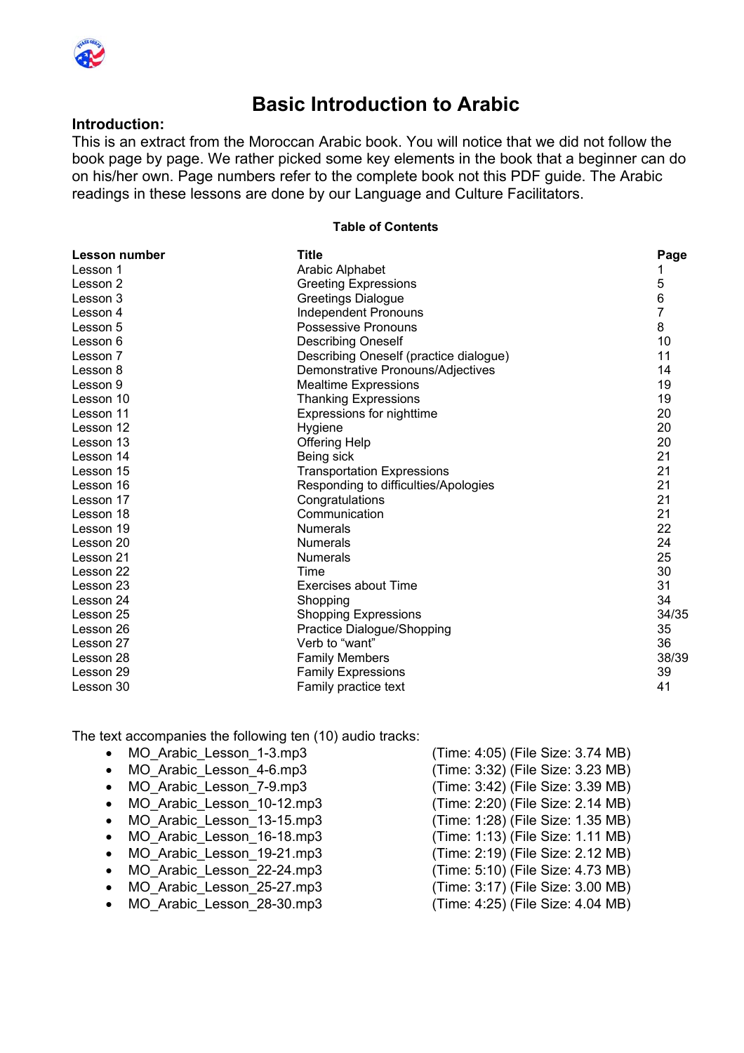

### **Basic Introduction to Arabic**

#### **Introduction:**

This is an extract from the Moroccan Arabic book. You will notice that we did not follow the book page by page. We rather picked some key elements in the book that a beginner can do on his/her own. Page numbers refer to the complete book not this PDF guide. The Arabic readings in these lessons are done by our Language and Culture Facilitators.

#### **Table of Contents**

| Lesson number | Title                                  | Page  |
|---------------|----------------------------------------|-------|
| Lesson 1      | <b>Arabic Alphabet</b>                 |       |
| Lesson 2      | <b>Greeting Expressions</b>            | 5     |
| Lesson 3      | <b>Greetings Dialogue</b>              | 6     |
| Lesson 4      | <b>Independent Pronouns</b>            | 7     |
| Lesson 5      | Possessive Pronouns                    | 8     |
| Lesson 6      | <b>Describing Oneself</b>              | 10    |
| Lesson 7      | Describing Oneself (practice dialogue) | 11    |
| Lesson 8      | Demonstrative Pronouns/Adjectives      | 14    |
| Lesson 9      | <b>Mealtime Expressions</b>            | 19    |
| Lesson 10     | <b>Thanking Expressions</b>            | 19    |
| Lesson 11     | Expressions for nighttime              | 20    |
| Lesson 12     | Hygiene                                | 20    |
| Lesson 13     | <b>Offering Help</b>                   | 20    |
| Lesson 14     | Being sick                             | 21    |
| Lesson 15     | <b>Transportation Expressions</b>      | 21    |
| Lesson 16     | Responding to difficulties/Apologies   | 21    |
| Lesson 17     | Congratulations                        | 21    |
| Lesson 18     | Communication                          | 21    |
| Lesson 19     | <b>Numerals</b>                        | 22    |
| Lesson 20     | <b>Numerals</b>                        | 24    |
| Lesson 21     | <b>Numerals</b>                        | 25    |
| Lesson 22     | Time                                   | 30    |
| Lesson 23     | Exercises about Time                   | 31    |
| Lesson 24     | Shopping                               | 34    |
| Lesson 25     | <b>Shopping Expressions</b>            | 34/35 |
| Lesson 26     | Practice Dialogue/Shopping             | 35    |
| Lesson 27     | Verb to "want"                         | 36    |
| Lesson 28     | <b>Family Members</b>                  | 38/39 |
| Lesson 29     | <b>Family Expressions</b>              | 39    |
| Lesson 30     | Family practice text                   | 41    |

The text accompanies the following ten (10) audio tracks:

- MO Arabic Lesson 1-3.mp3 (Time: 4:05) (File Size: 3.74 MB)
- 
- 
- 
- 
- 
- 
- 
- MO Arabic Lesson 28-30.mp3 (Time: 4:25) (File Size: 4.04 MB)
- MO Arabic Lesson 4-6.mp3 (Time: 3:32) (File Size: 3.23 MB) • MO Arabic Lesson 7-9.mp3 (Time: 3:42) (File Size: 3.39 MB) • MO Arabic Lesson 10-12.mp3 (Time: 2:20) (File Size: 2.14 MB) • MO\_Arabic\_Lesson\_13-15.mp3 (Time: 1:28) (File Size: 1.35 MB) • MO\_Arabic\_Lesson\_16-18.mp3 (Time: 1:13) (File Size: 1.11 MB) • MO\_Arabic\_Lesson\_19-21.mp3 (Time: 2:19) (File Size: 2.12 MB) • MO\_Arabic\_Lesson\_22-24.mp3 (Time: 5:10) (File Size: 4.73 MB) • MO Arabic Lesson 25-27.mp3 (Time: 3:17) (File Size: 3.00 MB)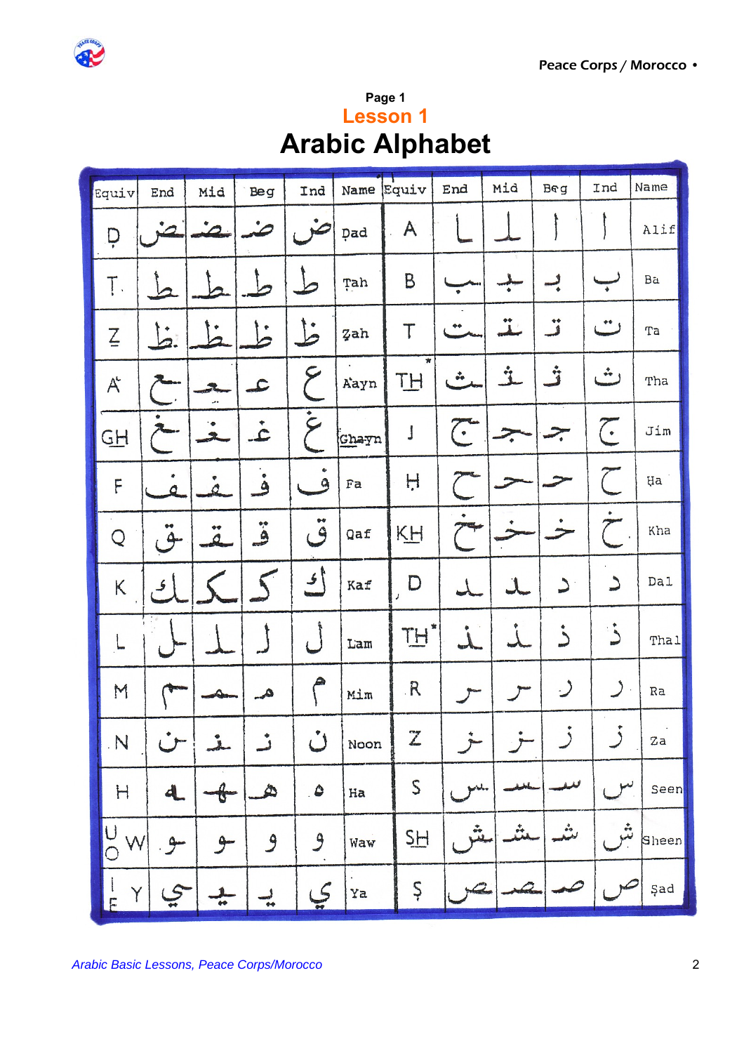

| Page 1                 |  |  |
|------------------------|--|--|
| <b>Lesson 1</b>        |  |  |
| <b>Arabic Alphabet</b> |  |  |

| Equiv               | End                  | Mid                                                  | <b>Beg</b>         | Ind                      | Name Equiv |                                 | End                                 | Mid            | <b>Beg</b>    | Ind              | Name  |
|---------------------|----------------------|------------------------------------------------------|--------------------|--------------------------|------------|---------------------------------|-------------------------------------|----------------|---------------|------------------|-------|
| p                   | 2                    | $\mathcal{L}_{-}$                                    |                    | $\rightarrow$            | pad        | A                               |                                     |                |               |                  | Alif  |
| Ţ.                  |                      |                                                      |                    |                          | Tah        | B                               | $\bullet$                           |                | پ             |                  | Ba    |
| $\sum_{i=1}^{n}$    | <u>انیا</u>          |                                                      |                    | $\overline{b}$           | Zah        | $\mathsf T$                     | $\bullet\bullet$                    | $\ddot{\perp}$ | ز<br>ف        |                  | Ta    |
| $A^2$               |                      | J.                                                   | $\mathbf{L}$       | حح                       | Aayn       | $\pmb{\pi}$<br>TH               | $\ddot{\bullet}$                    | Ĺ              |               | ت                | Tha   |
| $G\overline{H}$     |                      |                                                      | ٠<br>$\mathcal{L}$ | ٠<br>$\zeta$             | Ghayn      | J                               | $\widetilde{C}$                     | $\geq$         |               | $\sum_{i=1}^{n}$ | Jim   |
| F                   | Ó.                   | ₫                                                    | ۰<br>$\bullet$     | $\mathbf{a}$             | Fa         | H                               |                                     |                |               | $\left($         | Ha    |
| Q                   | $\ddot{9}$           | $^{\tiny{\text{**}}}$<br>$\mathcal{L}_{\mathcal{A}}$ |                    | $\ddot{\tilde{S}}$       | Qaf        | KH                              |                                     |                |               |                  | Kha   |
| К                   |                      |                                                      |                    | ا پ                      | Kaf        | $\Box$<br>$\boldsymbol{\jmath}$ |                                     |                | د             | د                | Da1   |
| ط.,                 |                      |                                                      |                    | $\overline{\phantom{0}}$ | Lam        | ×<br>TH                         | $\overline{\mathcal{L}}$            | کے             | ذ             | ذُ               | Thal  |
| M                   |                      |                                                      | $a_{-}$            |                          | Mim        | R                               |                                     |                | $\mathcal{C}$ |                  | Ra    |
| N                   |                      | خلقه                                                 | ٹ                  | $\cup$                   | Noon       | Z                               |                                     |                | ٠             |                  | Za    |
| $\mathbb H$         | $\blacktriangleleft$ | $\theta-$                                            | À                  | $\bullet$                | Ha         | $\mathsf S$                     | $\mathcal{P}^{\mathcal{U}_\bullet}$ |                |               |                  | Seen  |
| $\overline{C}$<br>W | $\cdot$ 9 $-$        | سو                                                   | $\mathcal{G}$      | $\mathcal{G}$            | Waw        | SH                              |                                     | لمتع           | ىش            | ش                | Sheen |
| $\frac{1}{E}$<br>Y  |                      | ÷                                                    | $\frac{1}{1}$      | $\sqrt{2}$               | Ya         | Ş                               |                                     |                |               |                  | Şad   |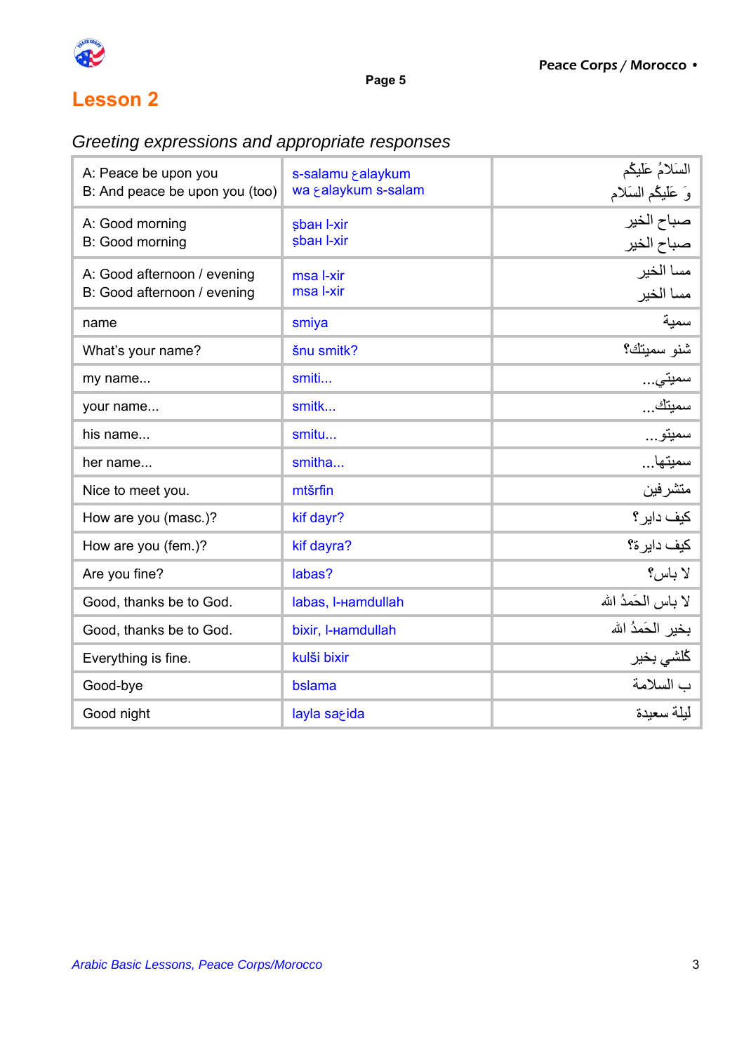

### *Greeting expressions and appropriate responses*

| A: Peace be upon you<br>B: And peace be upon you (too)     | s-salamu salaykum<br>wa & alaykum s-salam | السَلامُ عَلَيْكُم                               |
|------------------------------------------------------------|-------------------------------------------|--------------------------------------------------|
| A: Good morning<br>B: Good morning                         | sbaн I-xir<br>sbaн I-xir                  | وَ عَلَيْكُم السَلام<br>صباح الخير<br>صباح الخير |
| A: Good afternoon / evening<br>B: Good afternoon / evening | msa I-xir<br>msa I-xir                    | مسا الخير<br>مسا الخير                           |
| name                                                       | smiya                                     | سمية                                             |
| What's your name?                                          | šnu smitk?                                | شنو سميتك؟                                       |
| my name                                                    | smiti                                     | سميٽي…                                           |
| your name                                                  | smitk                                     | سميٽك                                            |
| his name                                                   | smitu                                     | سميتو…                                           |
| her name                                                   | smitha                                    | سميتها                                           |
| Nice to meet you.                                          | mtšrfin                                   | متشرفين                                          |
| How are you (masc.)?                                       | kif dayr?                                 | كيف داير ؟                                       |
| How are you (fem.)?                                        | kif dayra?                                | كيف داير ة؟                                      |
| Are you fine?                                              | labas?                                    | لا باس؟                                          |
| Good, thanks be to God.                                    | labas, I-Hamdullah                        | لا باس الحَمدُ الله                              |
| Good, thanks be to God.                                    | bixir, I-Hamdullah                        | بخير الحَمدُ الله                                |
| Everything is fine.                                        | kulši bixir                               | كلشي بخبر                                        |
| Good-bye                                                   | bslama                                    | ب السلامة                                        |
| Good night                                                 | layla sarida                              | ليلة سعيدة                                       |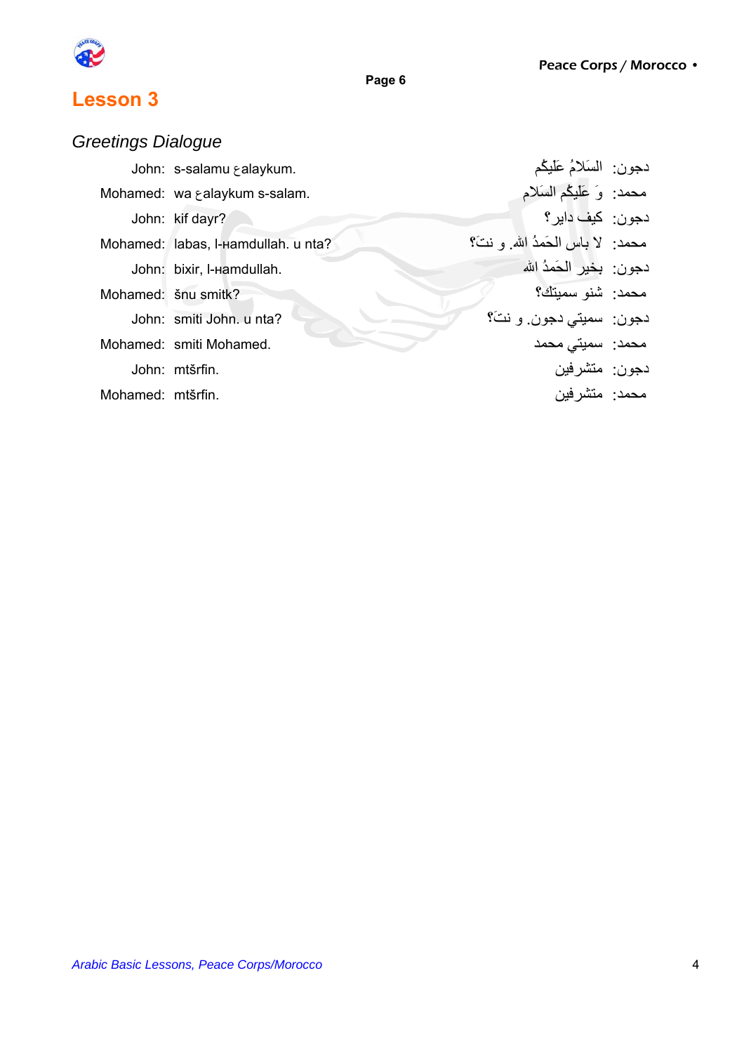

### *Greetings Dialogue*

|                   | John: s-salamu & alaykum.           | دجون: السَلامُ عَلَيْكُم         |  |
|-------------------|-------------------------------------|----------------------------------|--|
|                   | Mohamed: wa & alaykum s-salam.      | محمد: وَ عَلَيْكُمْ السَلَام     |  |
|                   | John: kif dayr?                     | دجو ن: _کيف داير ؟_              |  |
|                   | Mohamed: labas, I-Hamdullah. u nta? | محمد: لا باس الحَمدُ الله و نتَ؟ |  |
|                   | John: bixir, I-Hamdullah.           | دجون: يخير الحَمدُ الله          |  |
|                   | Mohamed: šnu smitk?                 | محمد: شذو سميتك؟                 |  |
|                   | John: smiti John. u nta?            | دجون: سميتي دجون. و نتَ؟         |  |
|                   | Mohamed: smiti Mohamed.             | محمد: سميتی محمد                 |  |
|                   | John: mtšrfin.                      | دجون: متشرفين                    |  |
| Mohamed: mtšrfin. |                                     | محمد: متشر فين                   |  |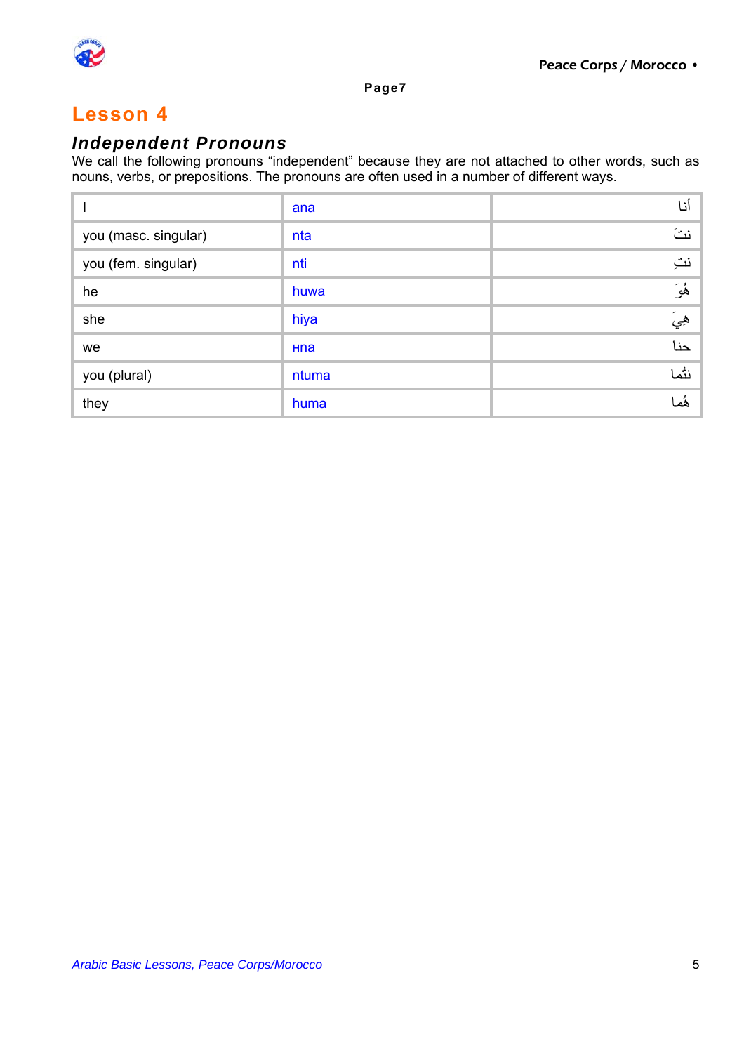

#### *Independent Pronouns*

We call the following pronouns "independent" because they are not attached to other words, such as nouns, verbs, or prepositions. The pronouns are often used in a number of different ways.

|                      | ana   | أنا  |
|----------------------|-------|------|
| you (masc. singular) | nta   | نت   |
| you (fem. singular)  | nti   | نتِ  |
| he                   | huwa  | ۿؘۅؘ |
| she                  | hiya  | هيَ  |
| we                   | Hna   | حنا  |
| you (plural)         | ntuma | نثما |
| they                 | huma  | ۿؙڡ  |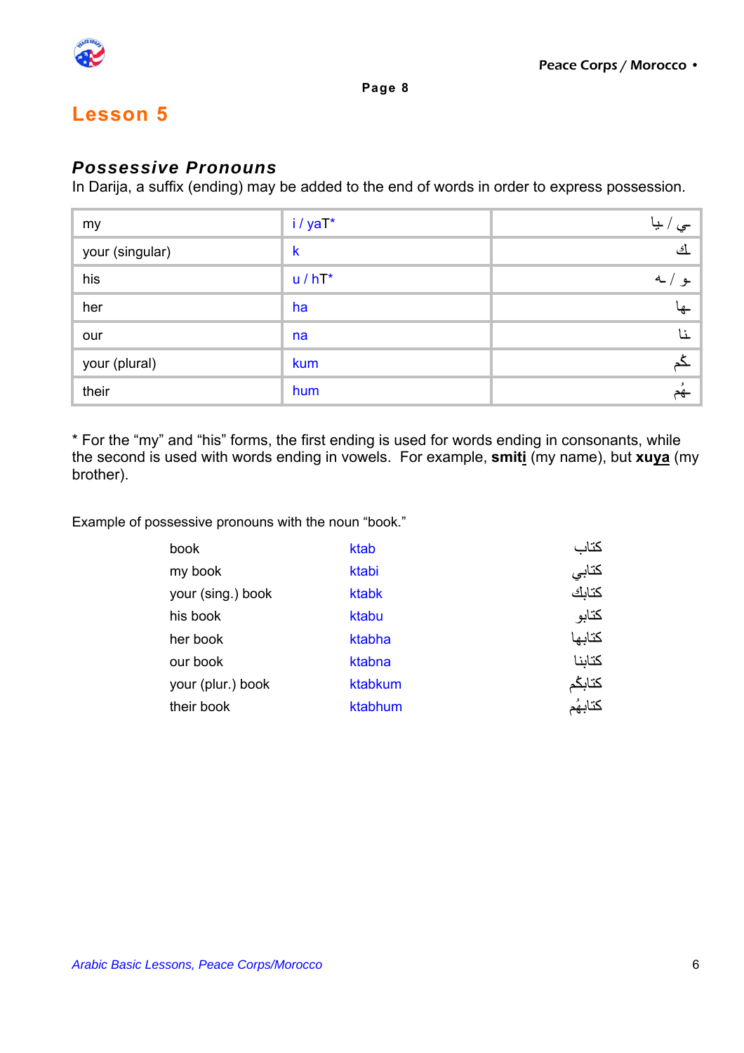

### *Possessive Pronouns*

In Darija, a suffix (ending) may be added to the end of words in order to express possession.

| my              | i/yaT*      | َ سي / بيا |
|-----------------|-------------|------------|
| your (singular) | $\mathsf k$ | <u>أى</u>  |
| his             | $u / hT^*$  | 4<br>ـو ِ  |
| her             | ha          |            |
| our             | na          | ۱٦         |
| your (plural)   | kum         |            |
| their           | hum         | هم         |

\* For the "my" and "his" forms, the first ending is used for words ending in consonants, while the second is used with words ending in vowels. For example, **smiti** (my name), but **xuya** (my brother).

Example of possessive pronouns with the noun "book."

| book              | ktab    | كتاب    |
|-------------------|---------|---------|
| my book           | ktabi   | كتابي   |
| your (sing.) book | ktabk   | كتابك   |
| his book          | ktabu   | كتابو   |
| her book          | ktabha  | كتابها  |
| our book          | ktabna  | كتاننا  |
| your (plur.) book | ktabkum | كتابكم  |
| their book        | ktabhum | كتابهُم |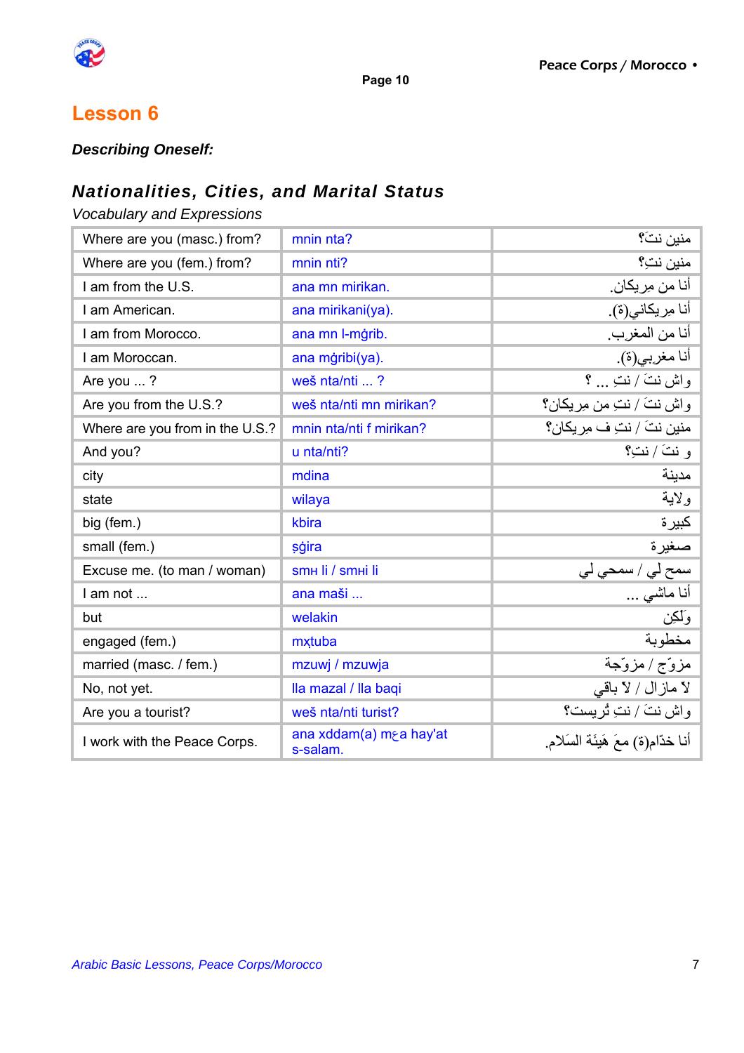

### **Lesson 6**

*Describing Oneself:* 

### *Nationalities, Cities, and Marital Status*

*Vocabulary and Expressions* 

| Where are you (masc.) from?     | mnin nta?                           | منين نتَ؟                           |
|---------------------------------|-------------------------------------|-------------------------------------|
| Where are you (fem.) from?      | mnin nti?                           | منين نتِ؟                           |
| I am from the U.S.              | ana mn mirikan.                     | │ أنا م <i>ن مِر</i> يكا <i>ن</i> . |
| I am American.                  | ana mirikani(ya).                   | أنا مِريكاني(ة).                    |
| I am from Morocco.              | ana mn l-mġrib.                     | أنا من المغرب.                      |
| I am Moroccan.                  | ana mġribi(ya).                     | أنا مغربي(ة).                       |
| Are you ?                       | weš nta/nti ?                       | واش نتَ / نتِ  ؟                    |
| Are you from the U.S.?          | weš nta/nti mn mirikan?             | واش نتَ / نتِ من مِريكان؟           |
| Where are you from in the U.S.? | mnin nta/nti f mirikan?             | منين نتَ / نتِ ف مِر يكان؟          |
| And you?                        | u nta/nti?                          | و نتَ / نتِ؟ $\mid$                 |
| city                            | mdina                               | مدينة                               |
| state                           | wilaya                              | ولاية                               |
| big (fem.)                      | kbira                               | كبيرة                               |
| small (fem.)                    | sģira                               | صغيرة                               |
| Excuse me. (to man / woman)     | SMH II / SMHI II                    | سمح لي / سمحي لي                    |
| I am not                        | ana maši                            | أنـا مـاشـي …                       |
| but                             | welakin                             | وَلَكِن                             |
| engaged (fem.)                  | mxtuba                              | مخطوبة                              |
| married (masc. / fem.)          | mzuwj / mzuwja                      | مزوّج / مزوّجة                      |
| No, not yet.                    | Ila mazal / Ila baqi                | لا مازال / لا باقي                  |
| Are you a tourist?              | weš nta/nti turist?                 | واش نتَ / نتِ تُريست؟               |
| I work with the Peace Corps.    | ana xddam(a) m a hay'at<br>s-salam. | أنا خدّام(ة) معَ هَيئَة السَلام     |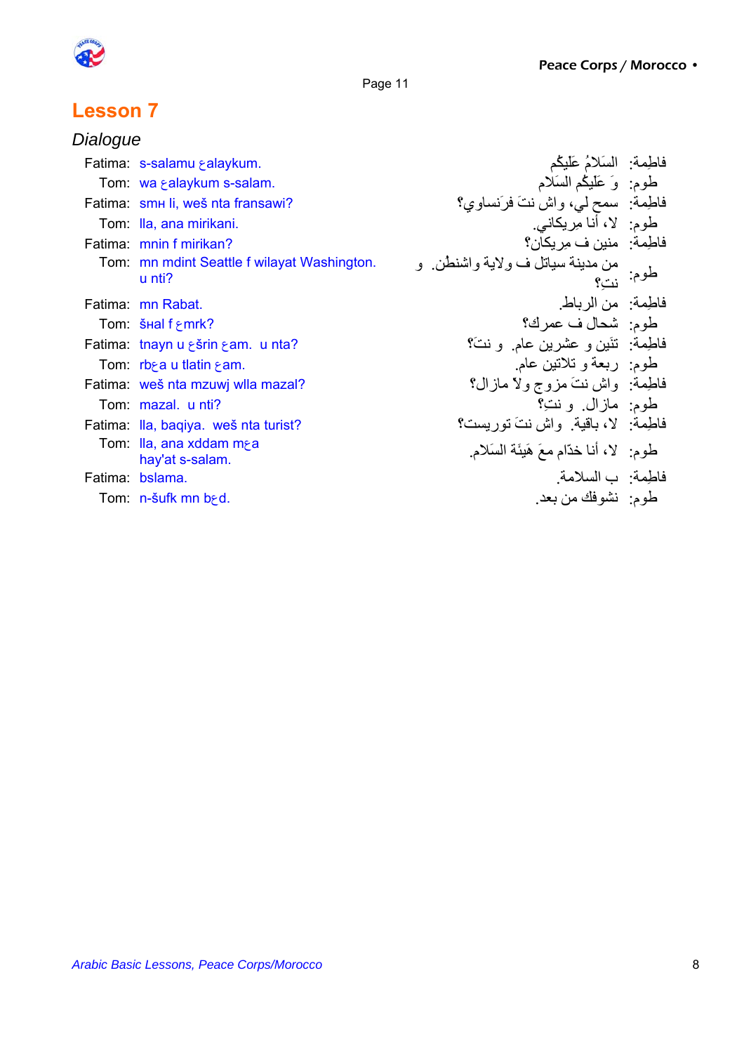

# **Lesson 7**

| Dialogue |                                                       |                                                         |           |
|----------|-------------------------------------------------------|---------------------------------------------------------|-----------|
|          | Fatima: s-salamu ralaykum.                            | فاطِمة: السَلامُ عَلَيْكُم                              |           |
|          | Tom: wa & alaykum s-salam.                            | طوم: وَ عَلَيْكُمُ السَلامُ                             |           |
|          | Fatima: smн li, weš nta fransawi?                     | فاطِمة: سمح ليي، واش نتَ فرَنساوي؟                      |           |
|          | Tom: Ila, ana mirikani.                               | طوم:   لا، أنا مِريكاني.                                |           |
|          | Fatima: mnin f mirikan?                               | فاطمة: منين ف مِريكان؟                                  |           |
|          | Tom: mn mdint Seattle f wilayat Washington.<br>u nti? | من مدينة سياتل ف ولاية واشنطن و                         | طوم: نتِ؟ |
|          | Fatima: mn Rabat.                                     | فاطِمة: من الرباط                                       |           |
|          | Tom: $\frac{sinh f}{2}$ mrk?                          | طوم:  شحال ف عمر ك؟                                     |           |
|          | Fatima: tnayn u sšrin sam. u nta?                     | فاطمة: تَنَيْن و عَشْرين عام و نتَ؟                     |           |
|          | Tom: $rb$ e u tlatin $\epsilon$ am.                   | طوم: ربعة و تلاتين عام                                  |           |
|          | Fatima: weš nta mzuwj wlla mazal?                     | فاطمة: واش نتَ مزوج ولا مازال؟                          |           |
|          | Tom: mazal. u nti?                                    | طوم: مازال ونت؟                                         |           |
|          | Fatima: Ila, bagiya. weš nta turist?                  | فاطمة: لا، باقية. واش نتَ تور بست؟                      |           |
|          | Tom: Ila, ana xddam m⊱a<br>hay'at s-salam.            | َ طُومٍ: ﴿ لَا أَنَا خَدَّامٍ مَعَ هَيِئَةَ السَّلَامِ. |           |
|          | Fatima: bslama.                                       | فاطِمة: ب السلامة                                       |           |
|          | Tom: n-šufk mn b <sub>r</sub> d.                      | طوم: نشوفك من بعد                                       |           |
|          |                                                       |                                                         |           |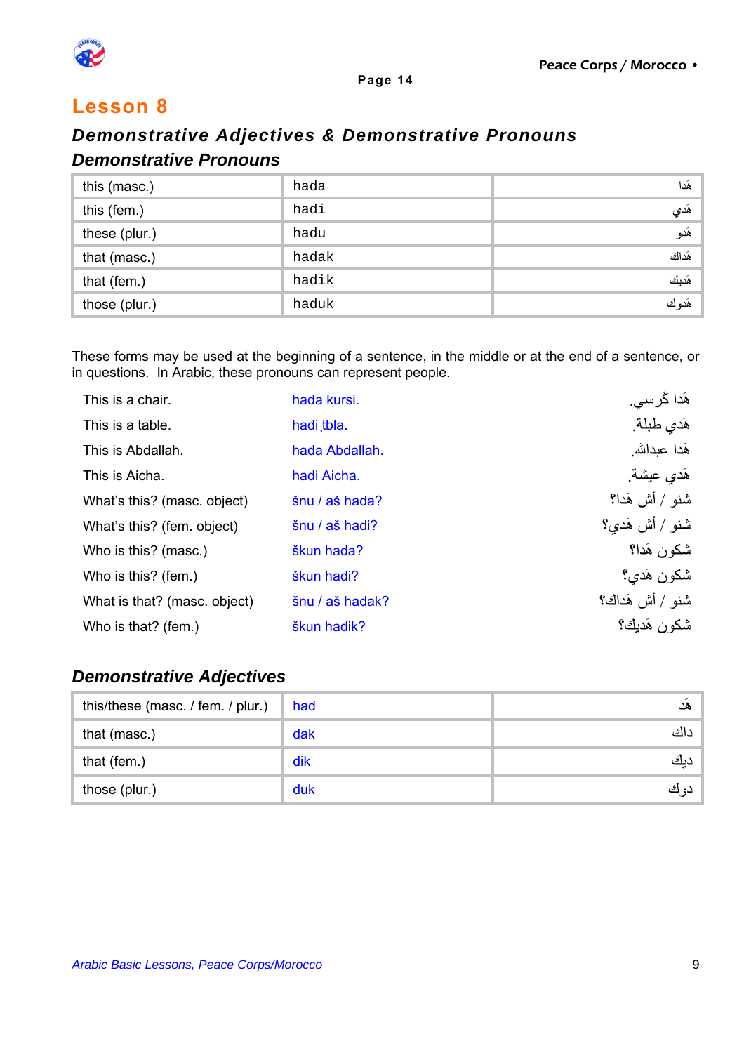

### *Demonstrative Adjectives & Demonstrative Pronouns Demonstrative Pronouns*

| this (masc.)  | hada  | هَدا  |
|---------------|-------|-------|
| this (fem.)   | hadi  | هَدي  |
| these (plur.) | hadu  | هَدو  |
| that (masc.)  | hadak | هَداك |
| that (fem.)   | hadik | هَديك |
| those (plur.) | haduk | هَدوك |

These forms may be used at the beginning of a sentence, in the middle or at the end of a sentence, or in questions. In Arabic, these pronouns can represent people.

| This is a chair.             | hada kursi.     | هَدا کُرسی.            |
|------------------------------|-----------------|------------------------|
| This is a table.             | hadi tbla.      | هَدي طبلة.             |
| This is Abdallah.            | hada Abdallah.  | هَدا عبدالله           |
| This is Aicha.               | hadi Aicha.     | هَدي عيشة.             |
| What's this? (masc. object)  | šnu / aš hada?  | شنو / أش هَدا؟         |
| What's this? (fem. object)   | šnu / aš hadi?  | شنو / أش هَد <i>ي؟</i> |
| Who is this? (masc.)         | škun hada?      | شكون هَدا؟             |
| Who is this? (fem.)          | škun hadi?      | شكون هَدي؟             |
| What is that? (masc. object) | šnu / aš hadak? | شنو / أش هَداك؟        |
| Who is that? (fem.)          | škun hadik?     | شكون هَديك؟            |

#### *Demonstrative Adjectives*

| this/these (masc. / fem. / plur.) | had | ھد           |
|-----------------------------------|-----|--------------|
| that (masc.)                      | dak | <u>: ااک</u> |
| that (fem.)                       | dik | ديك          |
| those (plur.)                     | duk | دو ت         |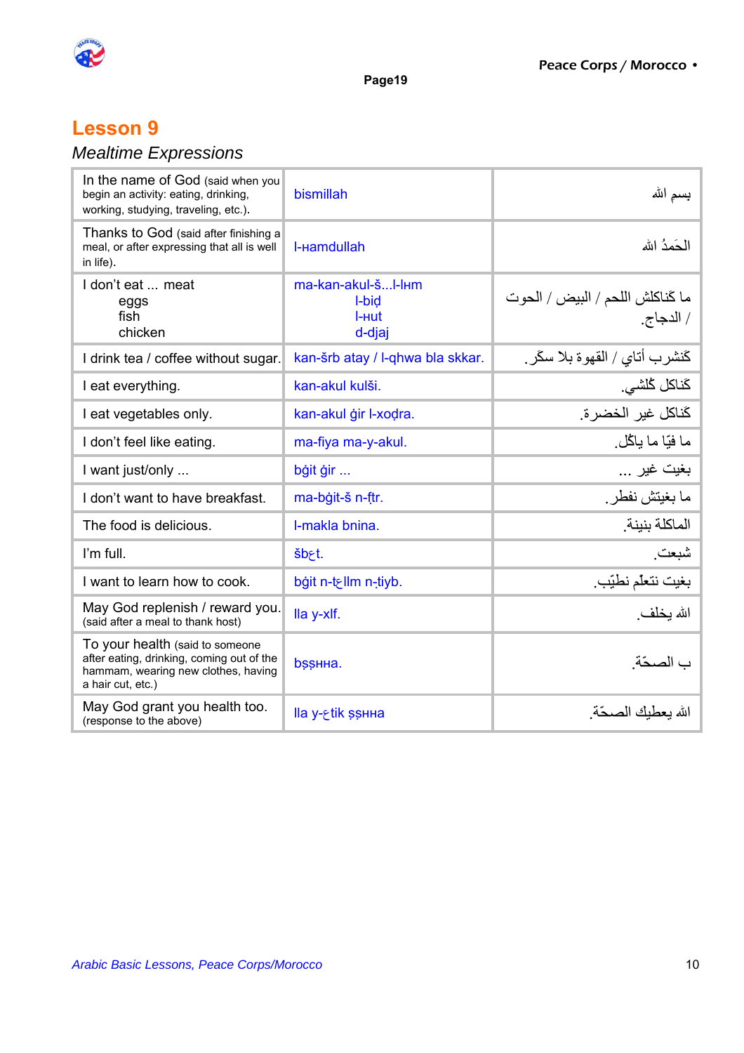

## **Lesson 9**

# *Mealtime Expressions*

| In the name of God (said when you<br>begin an activity: eating, drinking,<br>working, studying, traveling, etc.).                        | bismillah                                      | بسمِ الله                                                 |
|------------------------------------------------------------------------------------------------------------------------------------------|------------------------------------------------|-----------------------------------------------------------|
| Thanks to God (said after finishing a<br>meal, or after expressing that all is well<br>in life).                                         | I-Hamdullah                                    | الحَمدُ الله                                              |
| I don't eat  meat<br>eggs<br>fish<br>chicken                                                                                             | ma-kan-akul-šI-lнm<br>I-bid<br>I-ниt<br>d-djaj | ما كَناكلش اللحم / البيض / الحوت<br>/ الدجاج <sub>.</sub> |
| I drink tea / coffee without sugar.                                                                                                      | kan-šrb atay / I-qhwa bla skkar.               | كَنشرب أتاي / القهوة بلا سكَر .                           |
| I eat everything.                                                                                                                        | kan-akul kulši.                                | كَناكل كُلشي.                                             |
| I eat vegetables only.                                                                                                                   | kan-akul ğir l-xodra.                          | كَناكل غير الخضرة.                                        |
| I don't feel like eating.                                                                                                                | ma-fiya ma-y-akul.                             | ما فبّا ما باڭل                                           |
| I want just/only                                                                                                                         | bġit ġir                                       | بغيت غير                                                  |
| I don't want to have breakfast.                                                                                                          | ma-bġit-š n-ftr.                               | ما بغيتش نفطر ِ                                           |
| The food is delicious.                                                                                                                   | I-makla bnina.                                 | الماكلة بنبنة                                             |
| I'm full.                                                                                                                                | šb <sub>rt.</sub>                              | شبعت                                                      |
| I want to learn how to cook.                                                                                                             | bġit n-t⊱llm n-tiyb.                           | بغيت نتعلَّم نطيَّب ِ                                     |
| May God replenish / reward you.<br>(said after a meal to thank host)                                                                     | lla y-xlf.                                     | الله يخلف                                                 |
| To your health (said to someone<br>after eating, drinking, coming out of the<br>hammam, wearing new clothes, having<br>a hair cut, etc.) | bssHHa.                                        | ب الصحّة.                                                 |
| May God grant you health too.<br>(response to the above)                                                                                 | lla y- fik ssнна                               | الله بعطبك الصحّة                                         |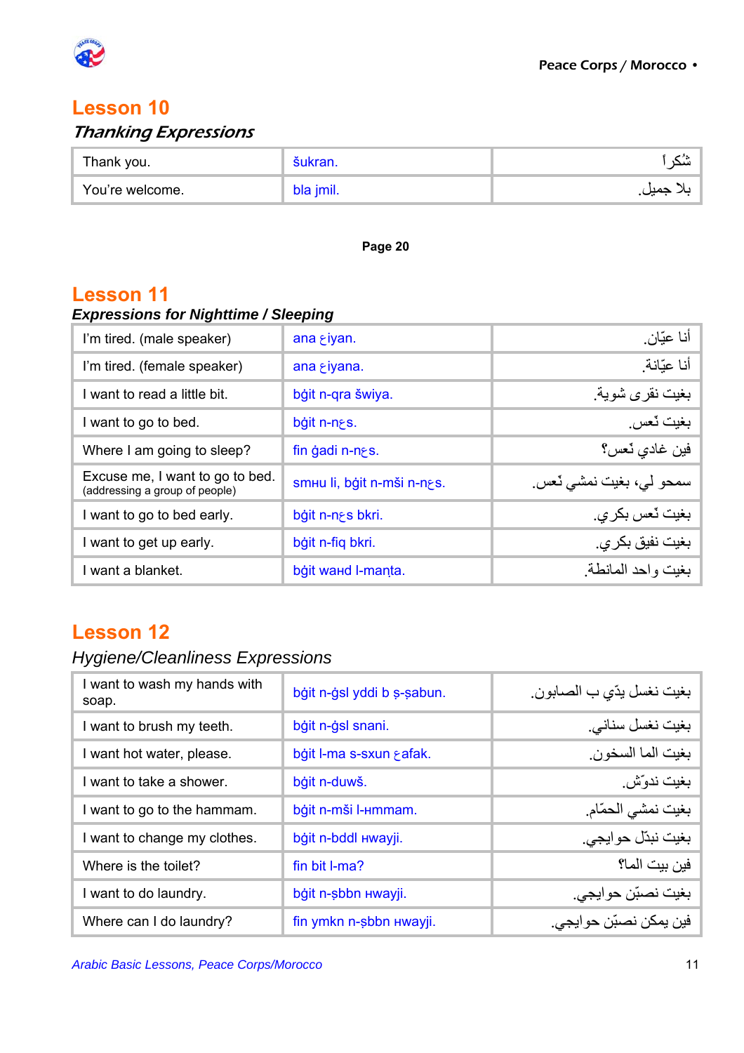

### Thanking Expressions

| Thank you.      | 'kran. |  |
|-----------------|--------|--|
| You're welcome. | риш.   |  |

**Page 20** 

### **Lesson 11**

### *Expressions for Nighttime / Sleeping*

| I'm tired. (male speaker)                                         | ana $\xi$ iyan.            | أنا عيّان ِ             |
|-------------------------------------------------------------------|----------------------------|-------------------------|
| I'm tired. (female speaker)                                       | ana $\epsilon$ iyana.      | أنا عبّانة              |
| I want to read a little bit.                                      | bģit n-qra šwiya.          | بغيت نقرى شوية.         |
| I want to go to bed.                                              | bġit n-nes.                | بغيت ٽعس                |
| Where I am going to sleep?                                        | fin gadi n-n $\epsilon$ s. | فين غادي ٽعس؟           |
| Excuse me, I want to go to bed.<br>(addressing a group of people) | smuuli, bģit n-mši n-ngs.  | سمحو لي، بغيت نمشي ٽعس. |
| I want to go to bed early.                                        | bġit n-ngs bkri.           | بغيت ٽعس بکر ي.         |
| I want to get up early.                                           | bġit n-fiq bkri.           | بغيت نفيق بكر ي.        |
| I want a blanket.                                                 | bġit waнd I-manta.         | بغبت واحد المانطة       |

## **Lesson 12**

## *Hygiene/Cleanliness Expressions*

| I want to wash my hands with<br>soap. | بغيت نغسل يدّي ب الصـابون ِ<br>bģit n-ġsl yddi b s-sabun. |                        |
|---------------------------------------|-----------------------------------------------------------|------------------------|
| I want to brush my teeth.             | bġit n-ġsl snani.                                         | بغیت نغسل سنانبي       |
| I want hot water, please.             | bġit I-ma s-sxun safak.                                   | بغيت الما السخون.      |
| I want to take a shower.              | bģit n-duwš.                                              | بغيت ندوّش ِ           |
| I want to go to the hammam.           | bġit n-mši l-Hmmam.                                       | بغيت نمشى الحمّام      |
| I want to change my clothes.          | bġit n-bddl Hwayji.                                       | بغيت نبدّل حوايجي.     |
| Where is the toilet?                  | fin bit I-ma?                                             | فين بيت الما؟          |
| I want to do laundry.                 | bğit n-sbbn Hwayji.                                       | بغيت نصبّن حوابجي.     |
| Where can I do laundry?               | fin ymkn n-sbbn Hwayji.                                   | فين يمكن نصبّن حوايجي. |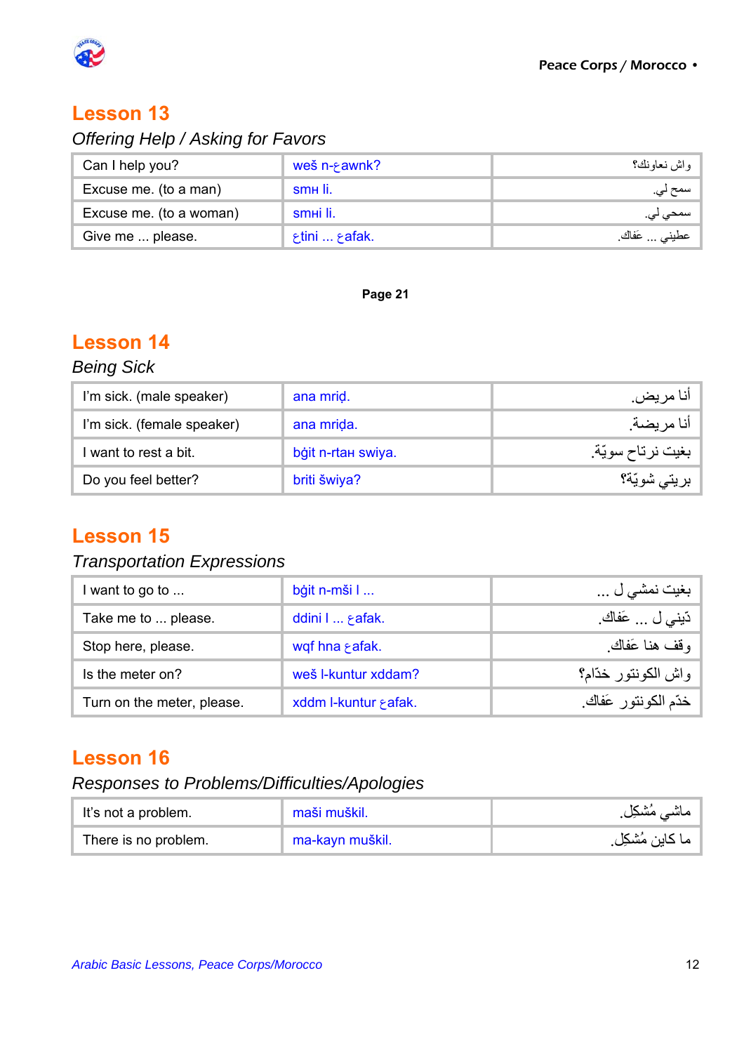

# *Offering Help / Asking for Favors*

| Can I help you?         | weš n- $\epsilon$ awnk?                | واش نعاونك؟    |
|-------------------------|----------------------------------------|----------------|
| Excuse me. (to a man)   | smң li.                                | سمح لي.        |
| Excuse me. (to a woman) | smei li.                               | سمحي لي.       |
| Give me  please.        | $\varepsilon$ tini $\varepsilon$ afak. | عطيني  عَفاكَ. |

#### **Page 21**

# **Lesson 14**

# *Being Sick*

| I'm sick. (male speaker)   | ana mrid.          | آنا مريض.        |
|----------------------------|--------------------|------------------|
| I'm sick. (female speaker) | ana mrida.         | أنا مريضة.       |
| want to rest a bit.        | bġit n-rtan swiya. | بغيت نرتاح سويّة |
| Do you feel better?        | briti šwiya?       | بريتي شويّة؟     |

### **Lesson 15**

### *Transportation Expressions*

| I want to go to            | bģit n-mši I          | بغيت نمشي ل         |
|----------------------------|-----------------------|---------------------|
| Take me to  please.        | ddini I  afak.        | دّيني ل  عَفاك.     |
| Stop here, please.         | wqf hna safak.        | وقف هذا عَفاك       |
| Is the meter on?           | weš I-kuntur xddam?   | واش الكونتور خدّام؟ |
| Turn on the meter, please. | xddm I-kuntur & afak. | خدّم الكونتور عَفاك |

### **Lesson 16**

### *Responses to Problems/Difficulties/Apologies*

| It's not a problem.  | maši muškil.    |                |
|----------------------|-----------------|----------------|
| There is no problem. | ma-kayn muškil. | ما كاين مُشكِل |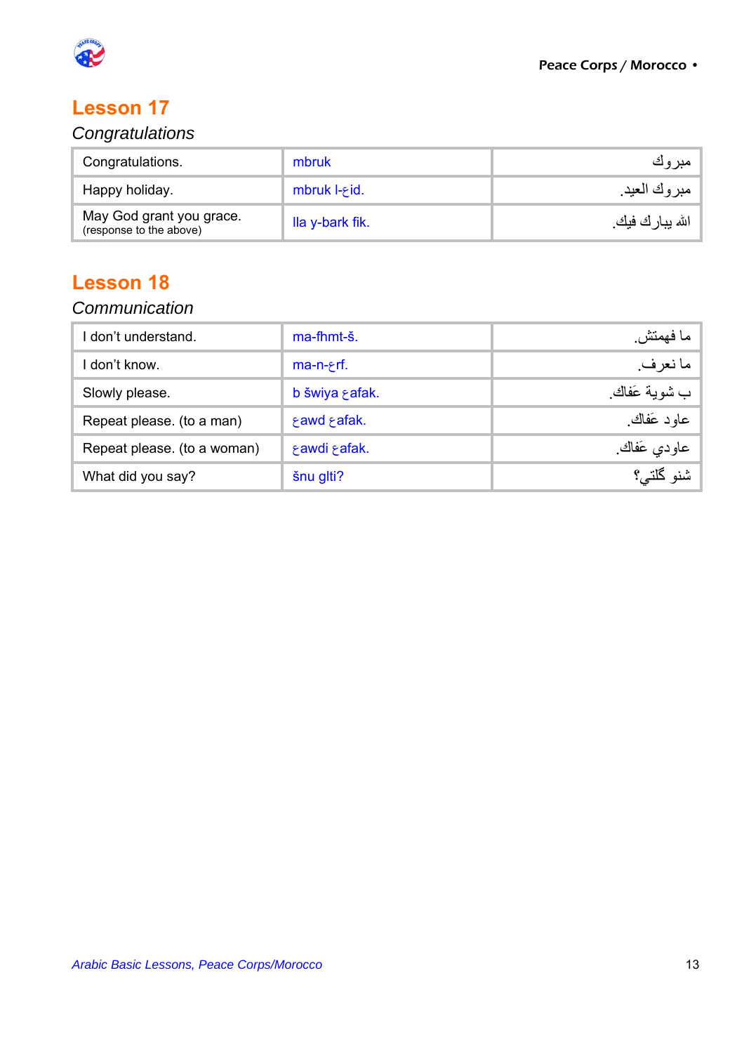

### *Congratulations*

| Congratulations.                                    | mbruk                    | مبروك             |
|-----------------------------------------------------|--------------------------|-------------------|
| Happy holiday.                                      | mbruk $I - \epsilon$ id. | ً مبروك العيد.    |
| May God grant you grace.<br>(response to the above) | lla y-bark fik.          | الله يبار ك فيك ِ |

# **Lesson 18**

### *Communication*

| I don't understand.         | ma-fhmt-š.     | ما فهمتش     |
|-----------------------------|----------------|--------------|
| l don't know.               | $ma-n-rf.$     | ما نعر ف     |
| Slowly please.              | b šwiya safak. | ب شوية عَفاك |
| Repeat please. (to a man)   | fawd fafak.    | عاود عَفاك   |
| Repeat please. (to a woman) | ξ awdi ξ afak. | عاودي عَفاك  |
| What did you say?           | šnu glti?      | شنو گلتي؟    |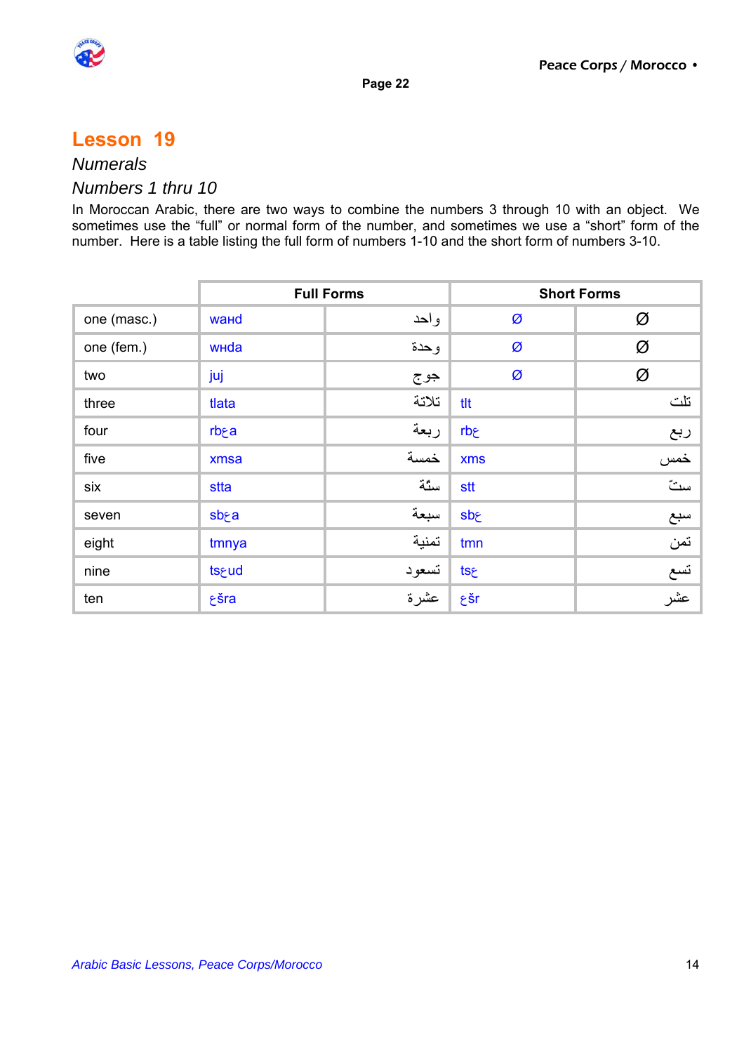



### *Numerals*

#### *Numbers 1 thru 10*

In Moroccan Arabic, there are two ways to combine the numbers 3 through 10 with an object. We sometimes use the "full" or normal form of the number, and sometimes we use a "short" form of the number. Here is a table listing the full form of numbers 1-10 and the short form of numbers 3-10.

|             | <b>Full Forms</b>      |       | <b>Short Forms</b> |          |  |
|-------------|------------------------|-------|--------------------|----------|--|
| one (masc.) | <b>wa<sub>H</sub>d</b> | واحد  | Ø                  | Ø        |  |
| one (fem.)  | wHda                   | وحدة  | Ø                  | Ø        |  |
| two         | juj                    | جوج   | Ø                  | Ø        |  |
| three       | tlata                  | تلاتة | tlt                | تلت      |  |
| four        | rb <sub>ca</sub>       | ربعة  | rb <sub>٤</sub>    | ربع      |  |
| five        | xmsa                   | خمسة  | <b>xms</b>         | خمس      |  |
| six         | stta                   | ستة   | stt                | ستّ      |  |
| seven       | sbra                   | سبعة  | sbe                | سبع      |  |
| eight       | tmnya                  | تمنية | tmn                | تمن      |  |
| nine        | tseud                  | تسعود | tse                | تسع      |  |
| ten         | ۶šra                   | عشرة  | ٤šr                | ِ<br>عشر |  |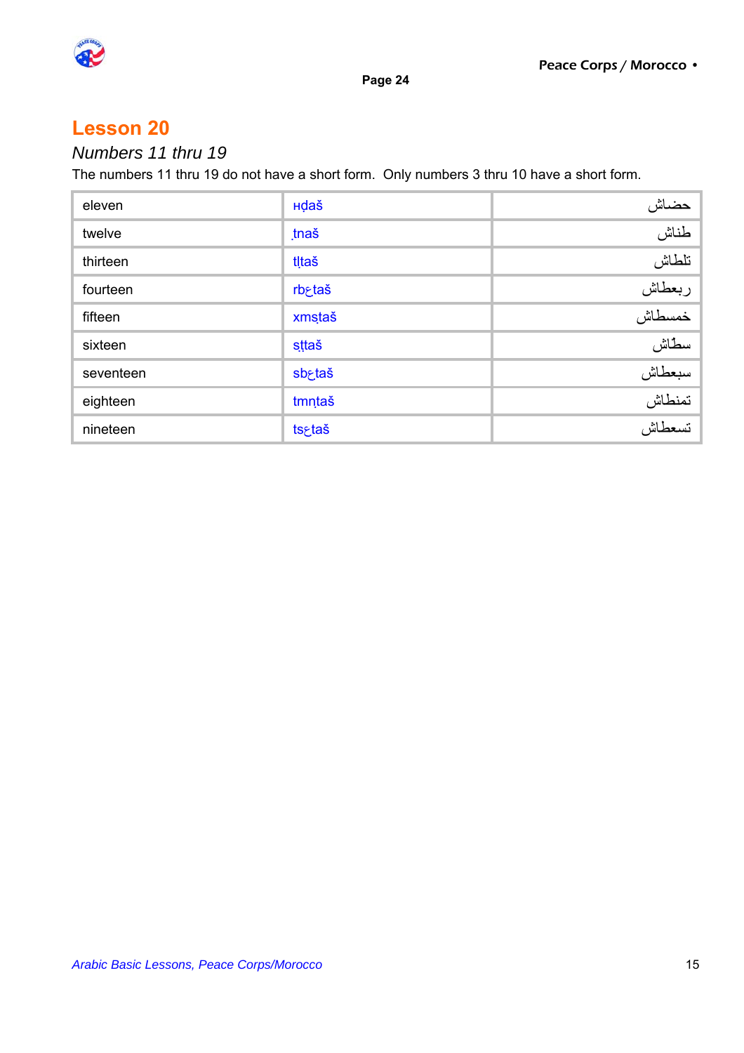

## *Numbers 11 thru 19*

The numbers 11 thru 19 do not have a short form. Only numbers 3 thru 10 have a short form.

| eleven    | Hdaš               | حضاش                       |
|-----------|--------------------|----------------------------|
| twelve    | tnaš               | طناش                       |
| thirteen  | tltaš              | تلطاش                      |
| fourteen  | rb <sub>rtaš</sub> |                            |
| fifteen   | xmstaš             |                            |
| sixteen   | sttaš              | ربعطاش<br>اربعطاش<br>سطاش  |
| seventeen | sb <sub>Etaš</sub> |                            |
| eighteen  | tmntaš             | سبعطاش<br>سبعطاش<br>تسعطاش |
| nineteen  | tsgtaš             |                            |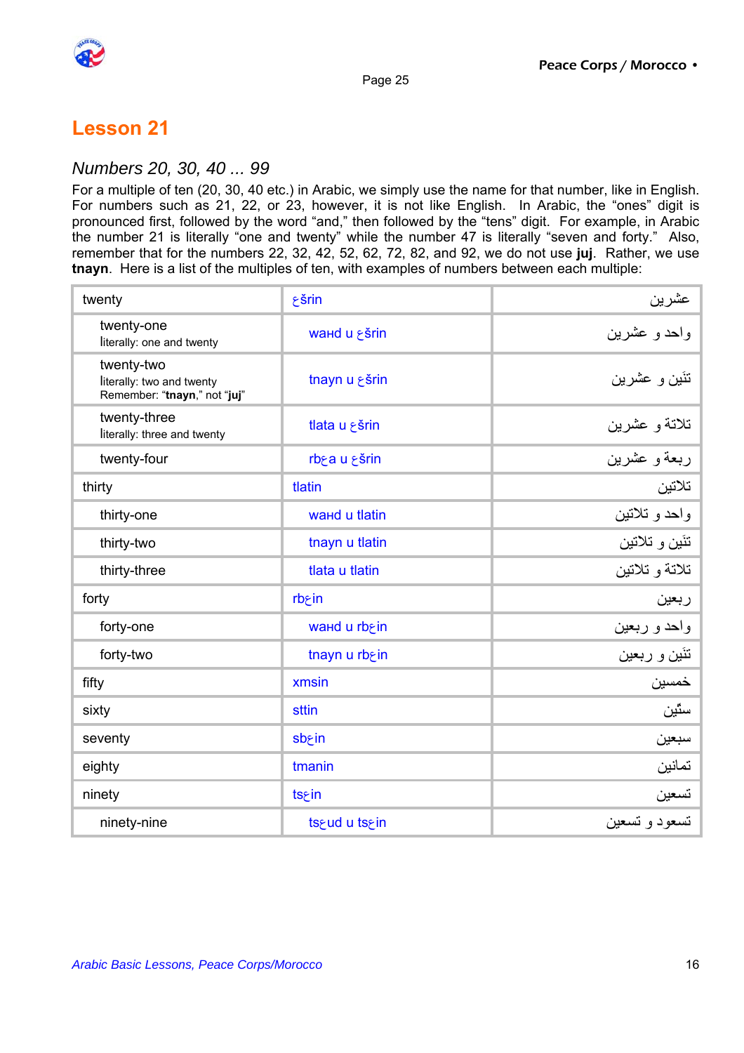

#### *Numbers 20, 30, 40 ... 99*

For a multiple of ten (20, 30, 40 etc.) in Arabic, we simply use the name for that number, like in English. For numbers such as 21, 22, or 23, however, it is not like English. In Arabic, the "ones" digit is pronounced first, followed by the word "and," then followed by the "tens" digit. For example, in Arabic the number 21 is literally "one and twenty" while the number 47 is literally "seven and forty." Also, remember that for the numbers 22, 32, 42, 52, 62, 72, 82, and 92, we do not use **juj**. Rather, we use **tnayn**. Here is a list of the multiples of ten, with examples of numbers between each multiple:

| twenty                                                                  | $\xi$ šrin           |                |
|-------------------------------------------------------------------------|----------------------|----------------|
| twenty-one<br>literally: one and twenty                                 | wand u ¿šrin         |                |
| twenty-two<br>literally: two and twenty<br>Remember: "tnayn," not "juj" | tnayn u ¿šrin        | تنَين و عشرين  |
| twenty-three<br>literally: three and twenty                             | tlata u ¿šrin        | تلاتة و عشرين  |
| twenty-four                                                             | rbea u sšrin         | ربعةو عشرين    |
| thirty                                                                  | tlatin               | تلاتين         |
| thirty-one                                                              | <b>waнd u tlatin</b> | واحد و تلاتين  |
| thirty-two                                                              | tnayn u tlatin       | تئين و تلاتين  |
| thirty-three                                                            | tlata u tlatin       | تلاتة و تلاتين |
| forty                                                                   | rb <sub>ri</sub> n   | ربعين          |
| forty-one                                                               | waнd u rb in         | واحد و ربعين   |
| forty-two                                                               | tnayn u rbein        | تنَين و ربعين  |
| fifty                                                                   | xmsin                | خمسين          |
| sixty                                                                   | sttin                | سٿين           |
| seventy                                                                 | sb <sub>rin</sub>    | سبعين          |
| eighty                                                                  | tmanin               | تمانين         |
| ninety                                                                  | tsein                | تسعين          |
| ninety-nine                                                             | ts&ud u ts∈          | تسعود و تسعين  |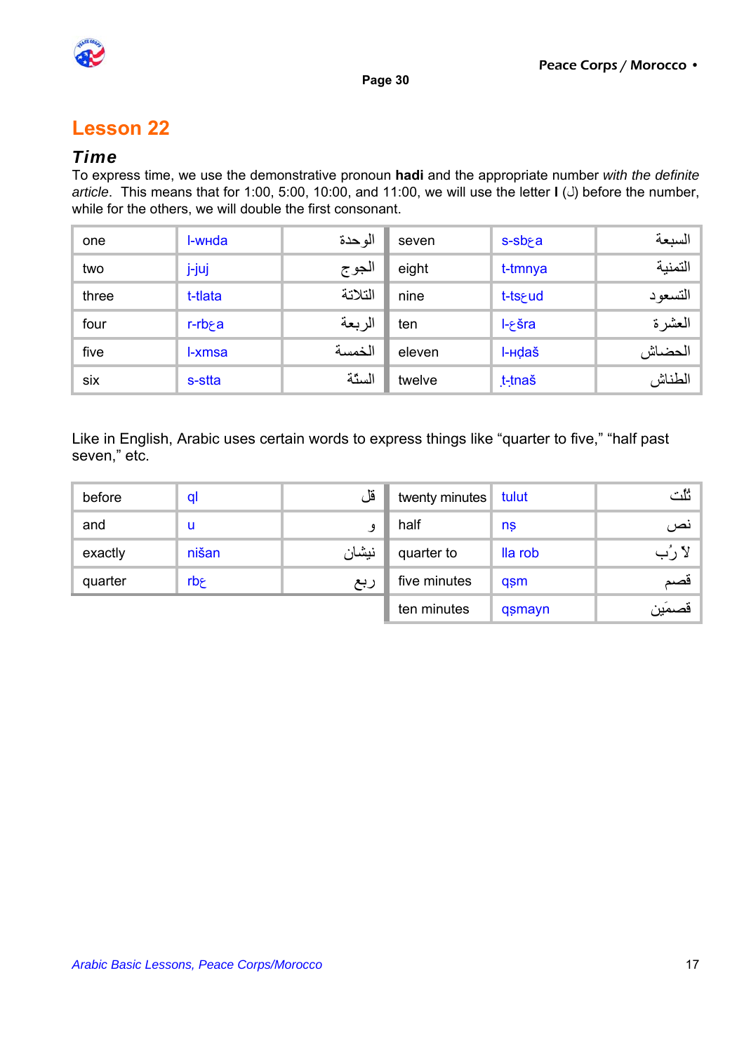

#### *Time*

To express time, we use the demonstrative pronoun **hadi** and the appropriate number *with the definite article*. This means that for 1:00, 5:00, 10:00, and 11:00, we will use the letter **I** (*J*) before the number, while for the others, we will double the first consonant.

| one   | I-whda               | الو حدة | seven  | $s$ -sb $\epsilon$ a | السبعة   |
|-------|----------------------|---------|--------|----------------------|----------|
| two   | j-juj                | الجوج   | eight  | t-tmnya              | التمنية  |
| three | t-tlata              | التلاتة | nine   | t-ts&ud              | التسعو د |
| four  | $r$ -rb $\epsilon$ a | الربعة  | ten    | $l$ - $\epsilon$ šra | العشرة   |
| five  | I-xmsa               | الخمسة  | eleven | I- <sub>H</sub> daš  | الحضاش   |
| six   | s-stta               | الستة   | twelve | t-tnaš               | الطناش   |

Like in English, Arabic uses certain words to express things like "quarter to five," "half past seven," etc.

| before  | ql    | قل    | twenty minutes | tulut   | ثلث    |
|---------|-------|-------|----------------|---------|--------|
| and     | u     |       | half           | nş      | نص     |
| exactly | nišan | نيشان | quarter to     | lla rob | لا رُب |
| quarter | rbج   | ربع   | five minutes   | qsm     | قصم    |
|         |       |       | ten minutes    | qsmayn  | قصمَين |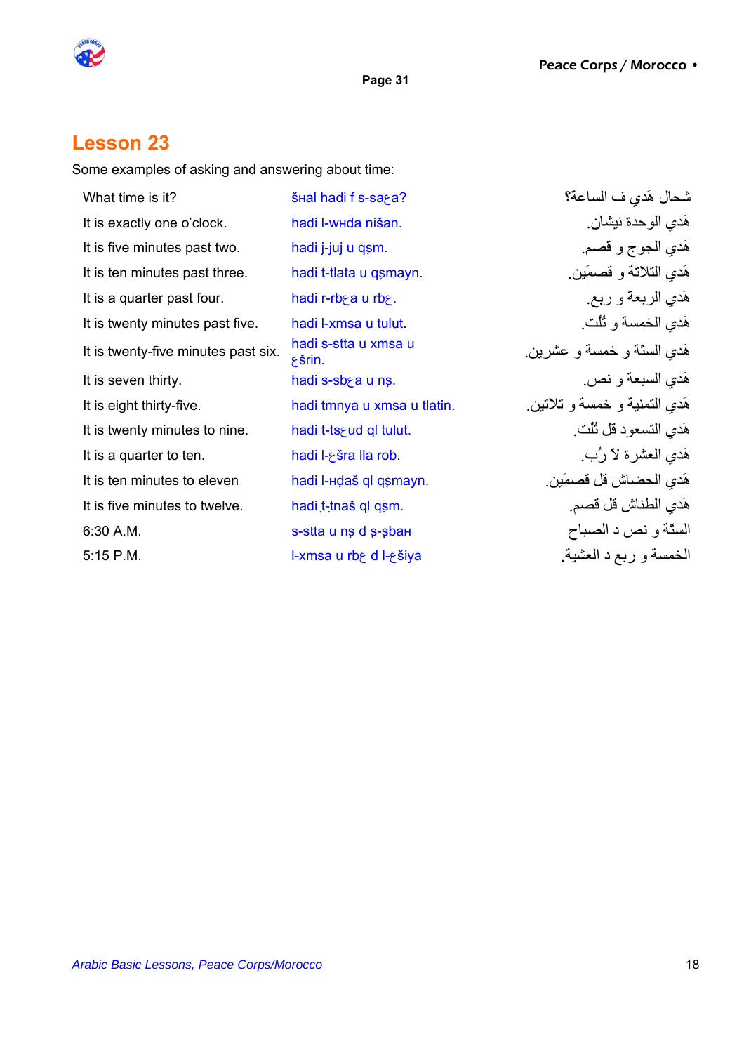

### **Lesson 23**

Some examples of asking and answering about time:

| What time is it?                    | SHal hadi f s-saga?                 | شحال هَدي ف الساعة؟           |
|-------------------------------------|-------------------------------------|-------------------------------|
| It is exactly one o'clock.          | hadi l-whda nišan.                  | هَدي الوحدة نيشان.            |
| It is five minutes past two.        | hadi j-juj u qṣm.                   | هَدي الجوج و قصم.             |
| It is ten minutes past three.       | hadi t-tlata u qsmayn.              | هَدي التلاتة و قصمَين         |
| It is a quarter past four.          | hadi r-rbea u rbe.                  | هَدي الربعة و ربع ِ           |
| It is twenty minutes past five.     | hadi I-xmsa u tulut.                | هَدي الخمسة و ثُلُّت.         |
| It is twenty-five minutes past six. | hadi s-stta u xmsa u<br>$\xi$ Šrin. | هَدي السنّة و خمسة و عشرين.   |
| It is seven thirty.                 | hadi s-sb a u ns.                   | هَدي السبعة و نص.             |
| It is eight thirty-five.            | hadi tmnya u xmsa u tlatin.         | هَدي التمنية و خمسة و تلاتين. |
| It is twenty minutes to nine.       | hadi t-ts>ud ql tulut.              | هَدي التسعود قل ثُلُت ِ       |
| It is a quarter to ten.             | hadi I-ešra lla rob.                | هَدي العشرة لاّ رُبٍ          |
| It is ten minutes to eleven         | hadi l-Hdaš ql qsmayn.              | هَدي الحضـاش قل قصـمَين ِ     |
| It is five minutes to twelve.       | hadi t-thaš ql qsm.                 | هَدي الطناش قل قصم ِ          |
| 6:30 A.M.                           | s-stta u ns d s-sbaн                | الستّة و نص د الصباح          |
| 5:15 P.M.                           | I-xmsa u rb dl- siya                | الخمسة و ربع د العشية         |
|                                     |                                     |                               |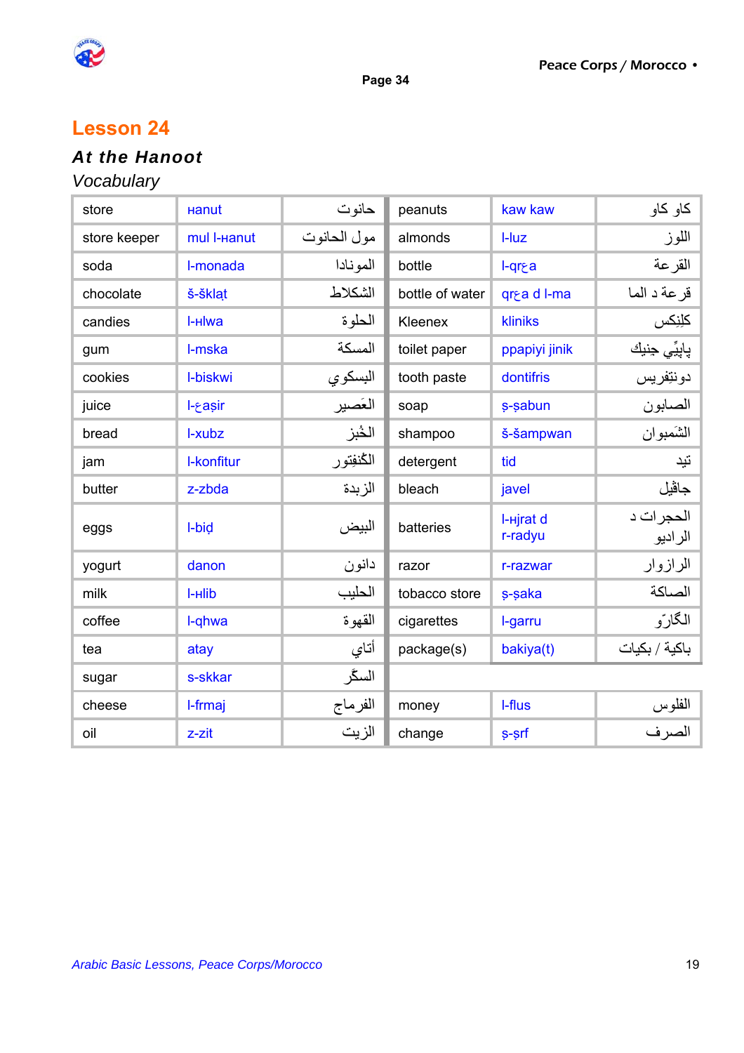

### **Lesson 24**

# *At the Hanoot*

## *Vocabulary*

| store        | <b>Hanut</b> | حانوت       | peanuts         | kaw kaw              | كاو كاو              |
|--------------|--------------|-------------|-----------------|----------------------|----------------------|
| store keeper | mul I-Hanut  | مول الحانوت | almonds         | $I-Iuz$              | اللوز                |
| soda         | I-monada     | المونادا    | bottle          | l-qr&a               | القرعة               |
| chocolate    | š-šklat      | الشكلاط     | bottle of water | grea d I-ma          | قرعة د الما          |
| candies      | I-Hlwa       | الحلوة      | Kleenex         | <b>kliniks</b>       | كلِنِكس              |
| gum          | I-mska       | المسكة      | toilet paper    | ppapiyi jinik        | پاپيِّي حِنبِك       |
| cookies      | I-biskwi     | البسكوي     | tooth paste     | dontifris            | دونتفريس             |
| juice        | l-gasir      | العَصير     | soap            | s-sabun              | الصابون              |
| bread        | I-xubz       | الخُبز      | shampoo         | š-šampwan            | الشَمبوان            |
| jam          | I-konfitur   | الكنفتور    | detergent       | tid                  | نَيد                 |
| butter       | z-zbda       | الزبدة      | bleach          | javel                | جاڤيل                |
| eggs         | I-bid        | البيض       | batteries       | I-Hirat d<br>r-radyu | الحجرات د<br>الراديو |
| yogurt       | danon        | دانون       | razor           | r-razwar             | الرازوار             |
| milk         | I-Hlib       | الحليب      | tobacco store   | s-saka               | الصاكة               |
| coffee       | I-qhwa       | القهوة      | cigarettes      | I-garru              | الگارّو              |
| tea          | atay         | أتاي        | package(s)      | bakiya(t)            | باكية / بكيات        |
| sugar        | s-skkar      | السگر       |                 |                      |                      |
| cheese       | I-frmaj      | الفرماج     | money           | I-flus               | الفلوس               |
| oil          | z-zit        | الزيت       | change          | s-srf                | الصرف                |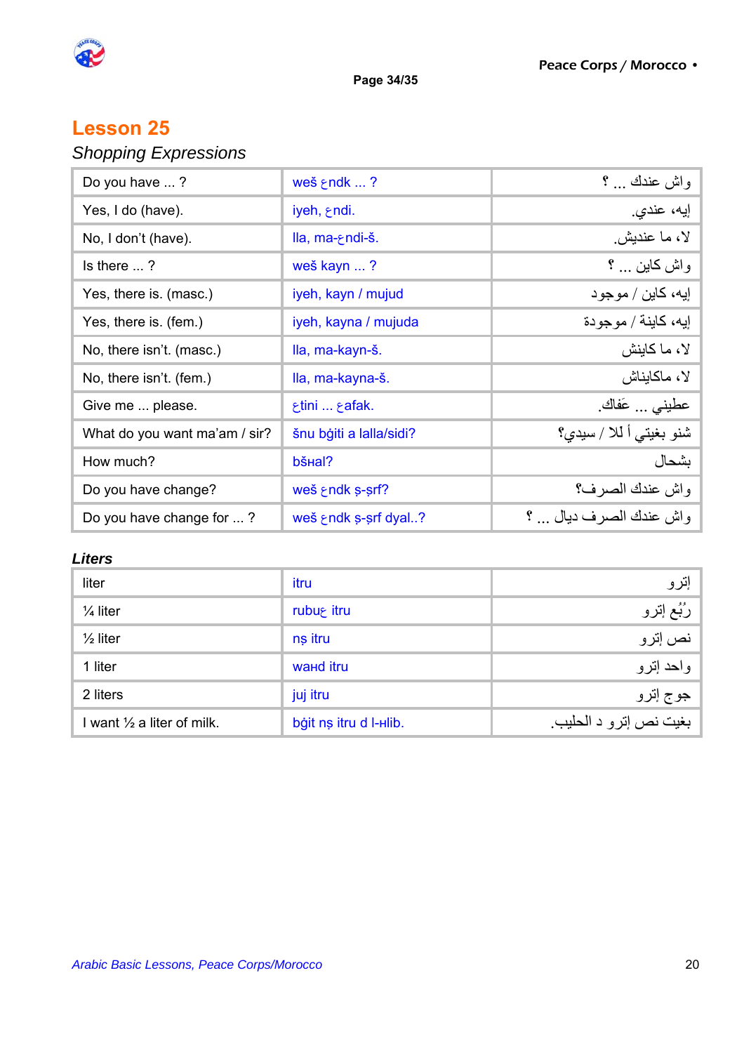

**Page 34/35** 

## **Lesson 25**

# *Shopping Expressions*

| Do you have ?                 | $we\check{s}$ and $k$ ?        | واش عندك  ؟            |
|-------------------------------|--------------------------------|------------------------|
| Yes, I do (have).             | iyeh, endi.                    | إيه، عندي.             |
| No, I don't (have).           | lla, ma-endi-š.                | لا، ما عنديش           |
| Is there $\ldots$ ?           | weš kayn ?                     | واش كاين … ؟           |
| Yes, there is. (masc.)        | iyeh, kayn / mujud             | ايه، كاين / موجود      |
| Yes, there is. (fem.)         | iyeh, kayna / mujuda           | إيه، كاينة / موجودة    |
| No, there isn't. (masc.)      | Ila, ma-kayn-š.                | لا، ما كاينش           |
| No, there isn't. (fem.)       | Ila, ma-kayna-š.               | لا، ماكايناش           |
| Give me  please.              | .tini  afak.                   | عطيني  عَفاكَ.         |
| What do you want ma'am / sir? | šnu bģiti a lalla/sidi?        | شنو بغيتي أكلا / سيدي؟ |
| How much?                     | bš <sub>Hal</sub> ?            | بشحال                  |
| Do you have change?           | weš $\epsilon$ ndk s-srf?      | واش عندك الصرف؟        |
| Do you have change for ?      | weš $\epsilon$ ndk s-srf dyal? | واش عندك الصرف دبال  ؟ |

#### *Liters*

| liter                                 | itru                   | إترو                   |
|---------------------------------------|------------------------|------------------------|
| $\frac{1}{4}$ liter                   | rubu <sup>e</sup> itru | رُبُّع إِترو           |
| $\frac{1}{2}$ liter                   | ns itru                | نص إترو                |
| 1 liter                               | <b>wand</b> itru       | واحد إترو              |
| 2 liters                              | juj itru               | جو ج إتر و             |
| I want $\frac{1}{2}$ a liter of milk. | bġit nṣ itru d l-Hlib. | بغيت نص إترو د الحليب. |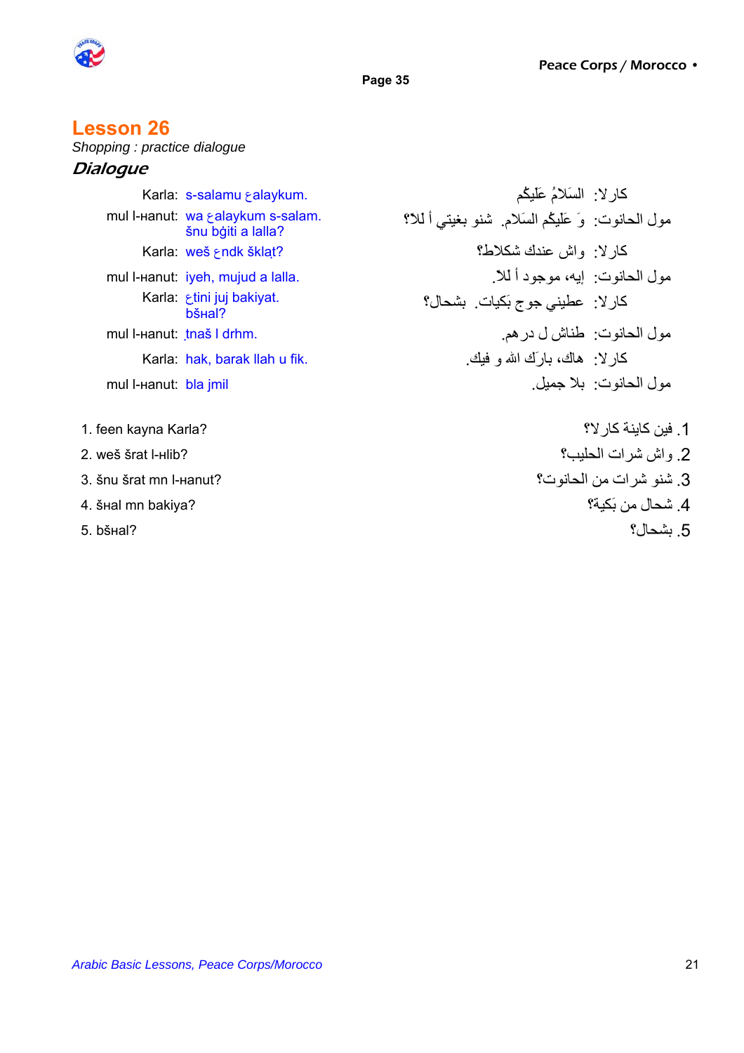



### **Lesson 26**

*Shopping : practice dialogue* 

### **Dialogue**

|                         | Karla: s-salamu salaykum.                               | كار لا: السَلامُ عَلَيْكُم                             |  |
|-------------------------|---------------------------------------------------------|--------------------------------------------------------|--|
|                         | mul I-Hanut: wa salaykum s-salam.<br>šnu bģiti a lalla? | مول الحانوت: وَ عَلَيْكُم السَلامِ. شَنو بغيتي أَ للا؟ |  |
|                         | Karla: weš ⊱ndk šklat?                                  | كار لا: واش عندك شكلاط؟                                |  |
|                         | mul I-Hanut: iyeh, mujud a lalla.                       | مو ل الحانو ت:   إيه، مو جو د أ للا ِ                  |  |
|                         | Karla: <i>Etini juj bakiyat.</i><br>bš <sub>Hal</sub> ? | كار لا: عطيني جوج بَكيات. بشحال؟                       |  |
|                         | mul l-Hanut: thaš I drhm.                               | مول الحانوت: طناش ل در هم.                             |  |
|                         | Karla: hak, barak llah u fik.                           | كـار لا: ۖ هاك، بـارَك الله و فَيْكَ.                  |  |
| mul I-Hanut: bla jmil   |                                                         | مو ل الحانو ت: بلا جمبل                                |  |
| 1. feen kayna Karla?    |                                                         | 1. فين كاينة كار لا؟                                   |  |
| 2. weš šrat l-нlib?     |                                                         | 2. واش شرات الحليب؟                                    |  |
| 3. šnu šrat mn I-наnut? |                                                         | 3. شنو شرات من الحانوت؟                                |  |
| 4. šнаl mn bakiya?      |                                                         | 4. شحال من بَكبة؟                                      |  |
| 5. bšнal?               |                                                         | 5. بشحال؟                                              |  |
|                         |                                                         |                                                        |  |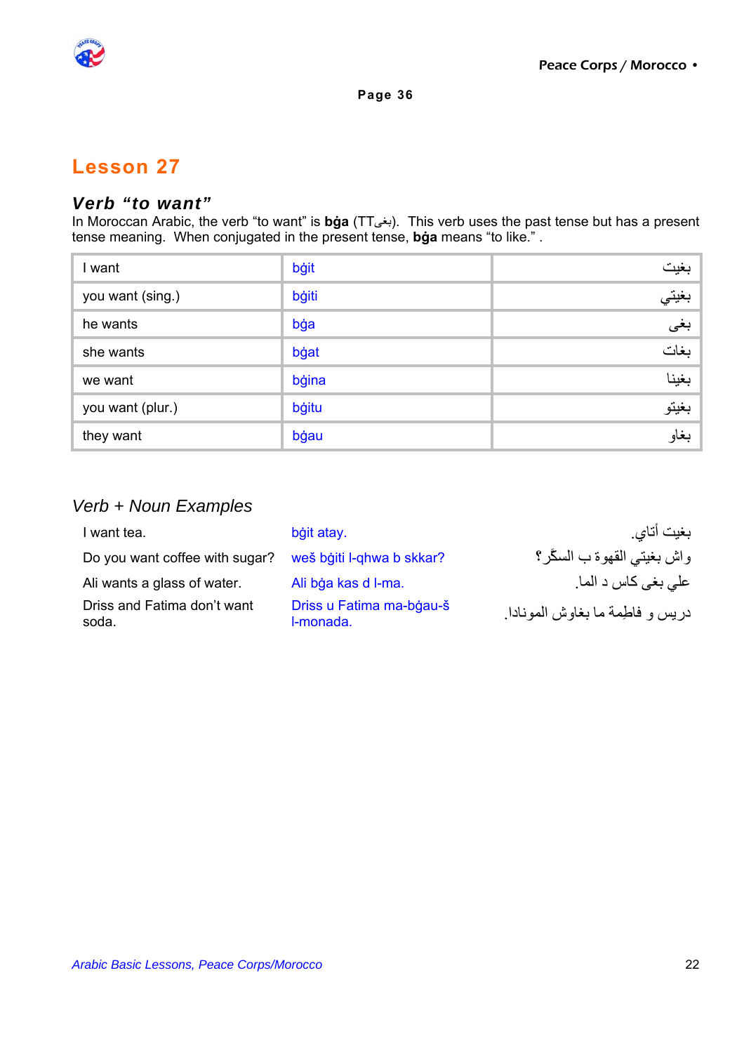

### *Verb "to want"*

In Moroccan Arabic, the verb "to want" is **bġa** (TTبغى). This verb uses the past tense but has a present tense meaning. When conjugated in the present tense, **bġa** means "to like." .

| l want           | bġit  | بغيت  |
|------------------|-------|-------|
| you want (sing.) | bġiti | بغيتي |
| he wants         | bġa   | بغى   |
| she wants        | bġat  | بغات  |
| we want          | bġina | بغينا |
| you want (plur.) | bġitu | بغيتو |
| they want        | bġau  | بغاو  |

### *Verb + Noun Examples*

| I want tea.                          | bġit atay.                            | بغيت أتاي                         |
|--------------------------------------|---------------------------------------|-----------------------------------|
| Do you want coffee with sugar?       | weš bġiti l-qhwa b skkar?             | واش بغيتي القهوة ب السكَّر؟       |
| Ali wants a glass of water.          | Ali bġa kas d l-ma.                   | علمي بغي كاس د الما <sub>.</sub>  |
| Driss and Fatima don't want<br>soda. | Driss u Fatima ma-bgau-š<br>I-monada. | در بس و فاطمة ما بغاوش المو نادا. |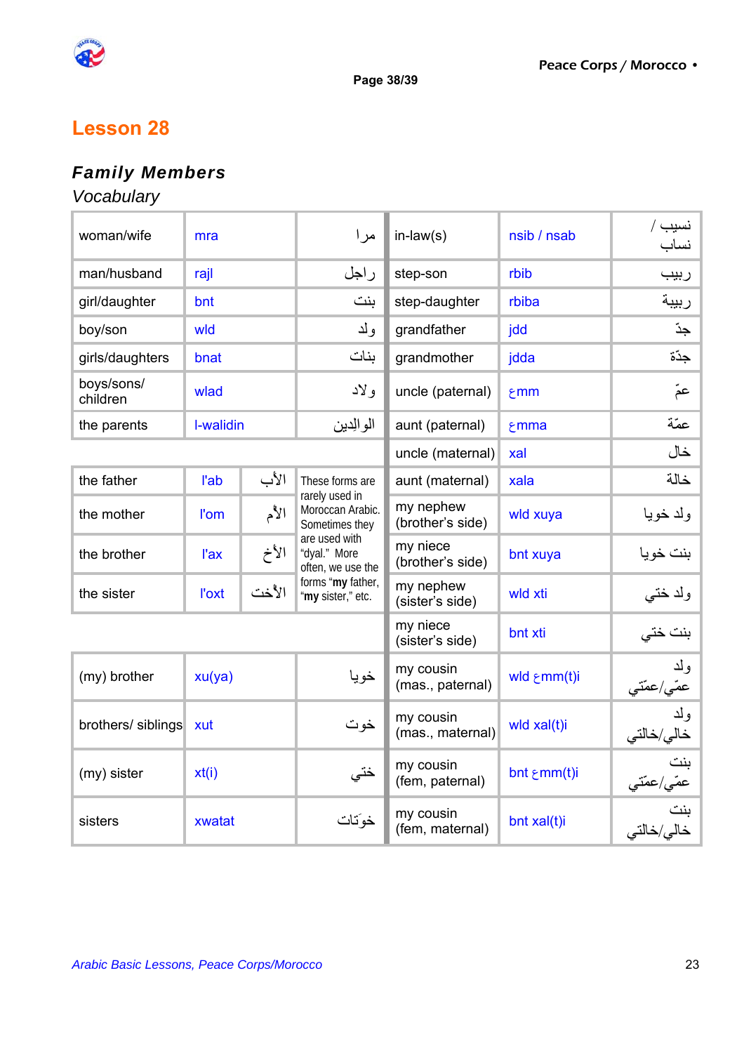

# *Family Members*

### *Vocabulary*

| woman/wife             | mra         |       | مر ا                                                 | $in$ -law $(s)$               | nsib / nsab           | نسيب /<br>نساب                     |
|------------------------|-------------|-------|------------------------------------------------------|-------------------------------|-----------------------|------------------------------------|
| man/husband            | rajl        |       | راجل                                                 | step-son                      | rbib                  | ربيب                               |
| girl/daughter          | bnt         |       | ىنت                                                  | step-daughter                 | rbiba                 | ربيبة                              |
| boy/son                | wld         |       | ولد                                                  | grandfather                   | jdd                   | جڏ                                 |
| girls/daughters        | bnat        |       | ىنات                                                 | grandmother                   | jdda                  | جدّة                               |
| boys/sons/<br>children | wlad        |       | ولاد                                                 | uncle (paternal)              | \$mm                  | عَمّ                               |
| the parents            | I-walidin   |       | الوالدين                                             | aunt (paternal)               | <b>mma</b>            | عمّة                               |
|                        |             |       |                                                      | uncle (maternal)              | xal                   | خال                                |
| the father             | l'ab        | الأب  | These forms are                                      | aunt (maternal)               | xala                  | خالة                               |
| the mother             | <b>l'om</b> | الأم  | rarely used in<br>Moroccan Arabic.<br>Sometimes they | my nephew<br>(brother's side) | wld xuya              | ولد خويا                           |
| the brother            | l'ax        | الأخ  | are used with<br>"dyal." More<br>often, we use the   | my niece<br>(brother's side)  | bnt xuya              | بنت خويا                           |
| the sister             | l'oxt       | الأخت | forms "my father,<br>"my sister," etc.               | my nephew<br>(sister's side)  | wld xti               | ولد ختبي                           |
|                        |             |       |                                                      | my niece<br>(sister's side)   | bnt xti               | بنت ختی                            |
| (my) brother           | xu(ya)      |       | خويا                                                 | my cousin<br>(mas., paternal) | wld $\epsilon$ mm(t)i | ولد<br>ع <i>مّي/</i> عمّت <i>ي</i> |
| brothers/siblings      | xut         |       | خوت                                                  | my cousin<br>(mas., maternal) | wld xal(t)i           | ولد<br>خالي/خالتي                  |
| (my) sister            | xt(i)       |       | ختي                                                  | my cousin<br>(fem, paternal)  | bnt ٤mm(t)i           | بنت<br>.<br>عمّي/عمّتي             |
| sisters                | xwatat      |       | خوَتات                                               | my cousin<br>(fem, maternal)  | bnt xal(t)i           | ىنت<br>خالي/خالتي                  |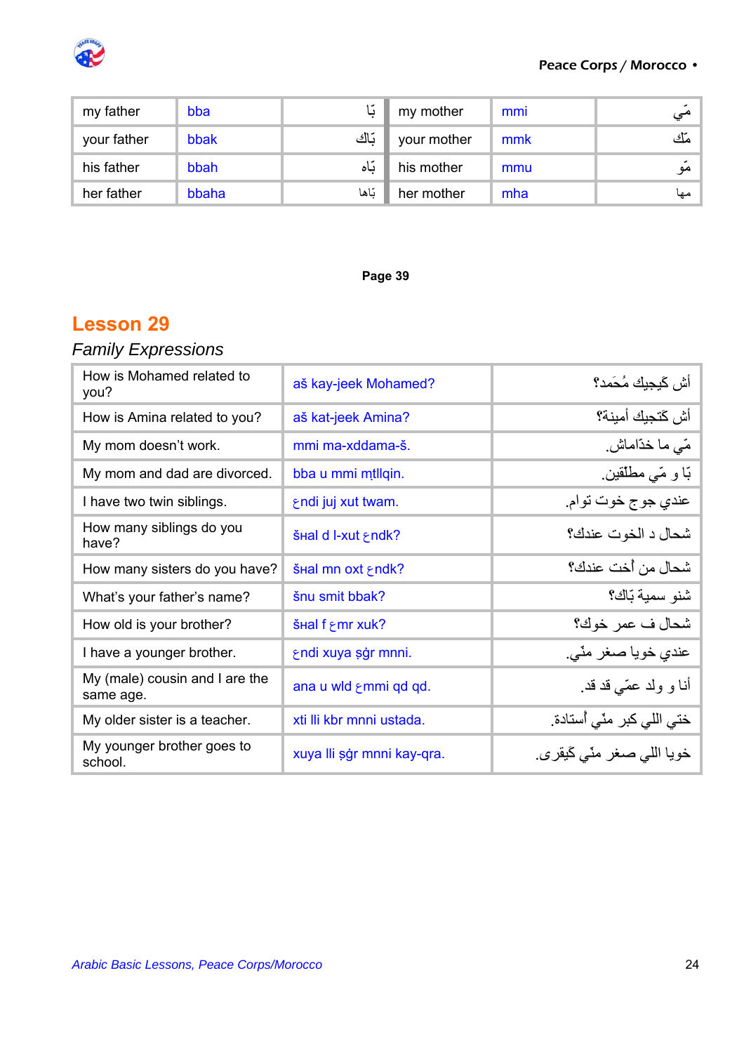

#### Peace Corps / Morocco •

| my father   | bba   | l.    | my mother   | mmi | مي   |
|-------------|-------|-------|-------------|-----|------|
| your father | bbak  | بّاك  | your mother | mmk | مَّك |
| his father  | bbah  | باه   | his mother  | mmu | مو   |
| her father  | bbaha | بّاها | her mother  | mha | مها  |

#### **Page 39**

## **Lesson 29**

# *Family Expressions*

| How is Mohamed related to<br>you?           | aš kay-jeek Mohamed?       | أش كَيجيك مُحَمد؟              |
|---------------------------------------------|----------------------------|--------------------------------|
| How is Amina related to you?                | aš kat-jeek Amina?         | أش كَتجيك أمينة؟               |
| My mom doesn't work.                        | mmi ma-xddama-š.           | مّي ما خدّاماش.                |
| My mom and dad are divorced.                | bba u mmi mtllqin.         | بّا و مّى مطلّقين ِ            |
| I have two twin siblings.                   | endi juj xut twam.         | عندي جوج خوت توام.             |
| How many siblings do you<br>have?           | SHal d I-xut & ndk?        | شحال د الخوت عندك؟             |
| How many sisters do you have?               | šHal mn oxt ⊱ndk?          | شحال من أخت عندك؟              |
| What's your father's name?                  | šnu smit bbak?             | شنو سمية بّاك؟                 |
| How old is your brother?                    | SHal f &mr xuk?            | شحال ف عمر خوك؟                |
| I have a younger brother.                   | εndi xuya sğr mnni.        | عندي خويا صغر مٽي <sub>.</sub> |
| My (male) cousin and I are the<br>same age. | ana u wld smmi qd qd.      | أنا و ولد عمّي قد قد.          |
| My older sister is a teacher.               | xti lli kbr mnni ustada.   | ختي اللي كبر  منّي أستادة.     |
| My younger brother goes to<br>school.       | xuya Ili şğr mnni kay-qra. | خويا اللي صغر منّي كَيقرى.     |